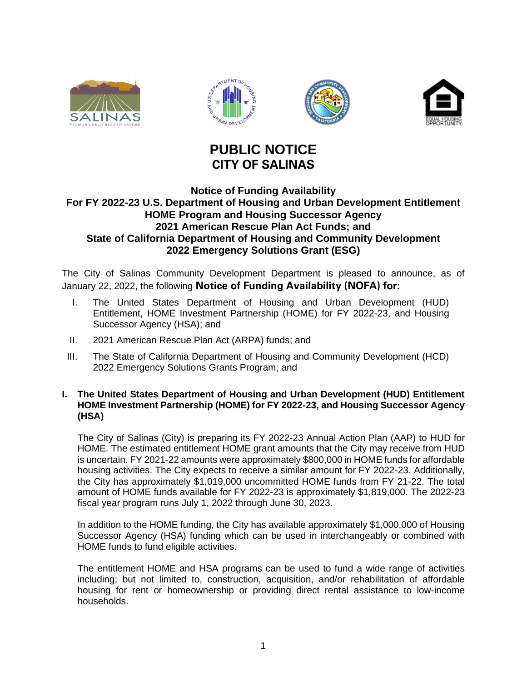





# **PUBLIC NOTICE CITY OF SALINAS**

## **Notice of Funding Availability For FY 2022-23 U.S. Department of Housing and Urban Development Entitlement HOME Program and Housing Successor Agency 2021 American Rescue Plan Act Funds; and State of California Department of Housing and Community Development 2022 Emergency Solutions Grant (ESG)**

The City of Salinas Community Development Department is pleased to announce, as of January 22, 2022, the following **Notice of Funding Availability (NOFA) for:**

- I. The United States Department of Housing and Urban Development (HUD) Entitlement, HOME Investment Partnership (HOME) for FY 2022-23, and Housing Successor Agency (HSA); and
- II. 2021 American Rescue Plan Act (ARPA) funds; and
- III. The State of California Department of Housing and Community Development (HCD) 2022 Emergency Solutions Grants Program; and

### **I. The United States Department of Housing and Urban Development (HUD) Entitlement HOME Investment Partnership (HOME) for FY 2022-23, and Housing Successor Agency (HSA)**

The City of Salinas (City) is preparing its FY 2022-23 Annual Action Plan (AAP) to HUD for HOME. The estimated entitlement HOME grant amounts that the City may receive from HUD is uncertain. FY 2021-22 amounts were approximately \$800,000 in HOME funds for affordable housing activities. The City expects to receive a similar amount for FY 2022-23. Additionally, the City has approximately \$1,019,000 uncommitted HOME funds from FY 21-22. The total amount of HOME funds available for FY 2022-23 is approximately \$1,819,000. The 2022-23 fiscal year program runs July 1, 2022 through June 30, 2023.

In addition to the HOME funding, the City has available approximately \$1,000,000 of Housing Successor Agency (HSA) funding which can be used in interchangeably or combined with HOME funds to fund eligible activities.

The entitlement HOME and HSA programs can be used to fund a wide range of activities including; but not limited to, construction, acquisition, and/or rehabilitation of affordable housing for rent or homeownership or providing direct rental assistance to low-income households.